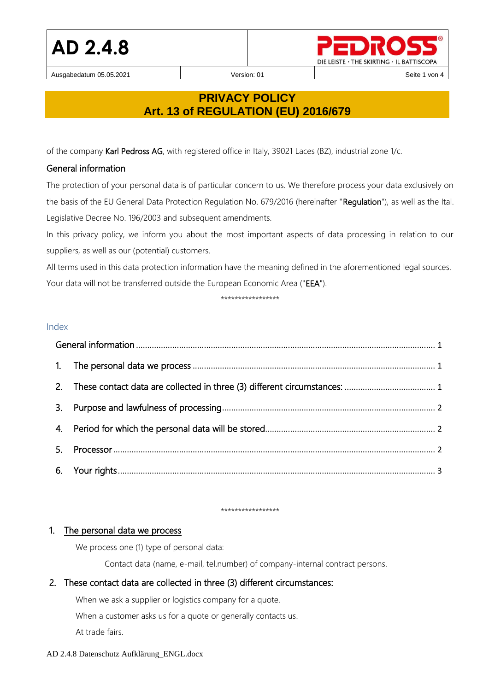Ausgabedatum 05.05.2021 **Version: 01** Version: 01 **Network** Seite 1 von 4



# **PRIVACY POLICY Art. 13 of REGULATION (EU) 2016/679**

of the company Karl Pedross AG, with registered office in Italy, 39021 Laces (BZ), industrial zone 1/c.

### <span id="page-0-0"></span>General information

The protection of your personal data is of particular concern to us. We therefore process your data exclusively on the basis of the EU General Data Protection Regulation No. 679/2016 (hereinafter "Regulation"), as well as the Ital. Legislative Decree No. 196/2003 and subsequent amendments.

In this privacy policy, we inform you about the most important aspects of data processing in relation to our suppliers, as well as our (potential) customers.

All terms used in this data protection information have the meaning defined in the aforementioned legal sources. Your data will not be transferred outside the European Economic Area ("EEA").

#### \*\*\*\*\*\*\*\*\*\*\*\*\*\*\*\*\*

#### Index

| 3. |  |  |  |  |
|----|--|--|--|--|
|    |  |  |  |  |
| 5. |  |  |  |  |
|    |  |  |  |  |

#### \*\*\*\*\*\*\*\*\*\*\*\*\*\*\*\*\*

#### <span id="page-0-1"></span>1. The personal data we process

We process one (1) type of personal data:

Contact data (name, e-mail, tel.number) of company-internal contract persons.

## <span id="page-0-2"></span>2. These contact data are collected in three (3) different circumstances:

When we ask a supplier or logistics company for a quote.

When a customer asks us for a quote or generally contacts us.

At trade fairs.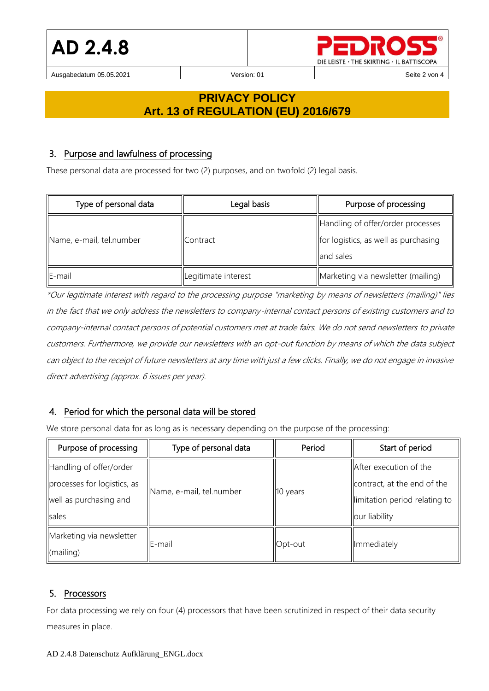

Ausgabedatum 05.05.2021 **Version: 01** Version: 01 **Network** Seite 2 von 4

# **PRIVACY POLICY Art. 13 of REGULATION (EU) 2016/679**

### <span id="page-1-0"></span>3. Purpose and lawfulness of processing

These personal data are processed for two (2) purposes, and on twofold (2) legal basis.

| Type of personal data    | Legal basis         | Purpose of processing                |
|--------------------------|---------------------|--------------------------------------|
|                          | <b>I</b> Contract   | Handling of offer/order processes    |
| Name, e-mail, tel.number |                     | for logistics, as well as purchasing |
|                          |                     | lland sales                          |
| $E$ -mail                | Legitimate interest | Marketing via newsletter (mailing)   |

\*Our legitimate interest with regard to the processing purpose "marketing by means of newsletters (mailing)" lies in the fact that we only address the newsletters to company-internal contact persons of existing customers and to company-internal contact persons of potential customers met at trade fairs. We do not send newsletters to private customers. Furthermore, we provide our newsletters with an opt-out function by means of which the data subject can object to the receipt of future newsletters at any time with just a few clicks. Finally, we do not engage in invasive direct advertising (approx. 6 issues per year).

## <span id="page-1-1"></span>4. Period for which the personal data will be stored

We store personal data for as long as is necessary depending on the purpose of the processing:

| Purpose of processing       | Type of personal data    | Period   | Start of period                |
|-----------------------------|--------------------------|----------|--------------------------------|
| Handling of offer/order     | Name, e-mail, tel.number | 10 years | After execution of the         |
| processes for logistics, as |                          |          | contract, at the end of the    |
| well as purchasing and      |                          |          | llimitation period relating to |
| sales                       |                          |          | our liability                  |
| Marketing via newsletter    | IE-mail                  | Opt-out  | Immediately                    |
| (mailing)                   |                          |          |                                |

## <span id="page-1-2"></span>5. Processors

For data processing we rely on four (4) processors that have been scrutinized in respect of their data security measures in place.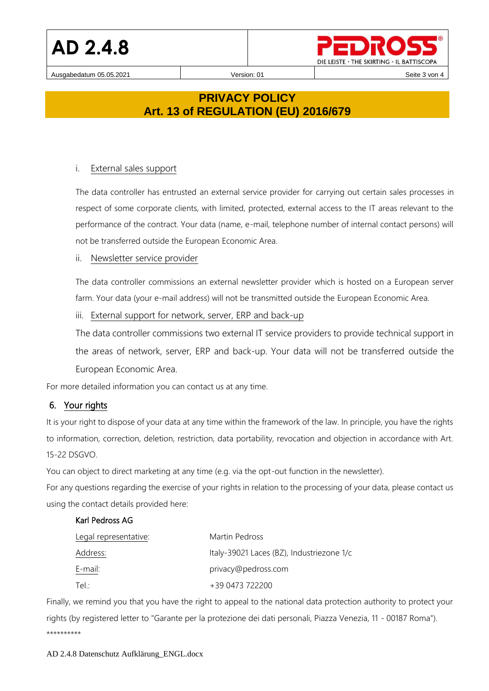Ausgabedatum 05.05.2021 **Version: 01** Version: 01 **Network** Seite 3 von 4

DIE LEISTE · THE SKIRTING · IL BATTISCOPA

# **PRIVACY POLICY Art. 13 of REGULATION (EU) 2016/679**

### i. External sales support

The data controller has entrusted an external service provider for carrying out certain sales processes in respect of some corporate clients, with limited, protected, external access to the IT areas relevant to the performance of the contract. Your data (name, e-mail, telephone number of internal contact persons) will not be transferred outside the European Economic Area.

#### ii. Newsletter service provider

The data controller commissions an external newsletter provider which is hosted on a European server farm. Your data (your e-mail address) will not be transmitted outside the European Economic Area.

iii. External support for network, server, ERP and back-up

The data controller commissions two external IT service providers to provide technical support in the areas of network, server, ERP and back-up. Your data will not be transferred outside the European Economic Area.

For more detailed information you can contact us at any time.

## <span id="page-2-0"></span>6. Your rights

It is your right to dispose of your data at any time within the framework of the law. In principle, you have the rights to information, correction, deletion, restriction, data portability, revocation and objection in accordance with Art. 15-22 DSGVO.

You can object to direct marketing at any time (e.g. via the opt-out function in the newsletter).

For any questions regarding the exercise of your rights in relation to the processing of your data, please contact us using the contact details provided here:

#### Karl Pedross AG

| Legal representative: | Martin Pedross                            |
|-----------------------|-------------------------------------------|
| Address:              | Italy-39021 Laces (BZ), Industriezone 1/c |
| E-mail:               | privacy@pedross.com                       |
| Tel :                 | +39 0473 722200                           |

Finally, we remind you that you have the right to appeal to the national data protection authority to protect your rights (by registered letter to "Garante per la protezione dei dati personali, Piazza Venezia, 11 - 00187 Roma"). \*\*\*\*\*\*\*\*\*\*